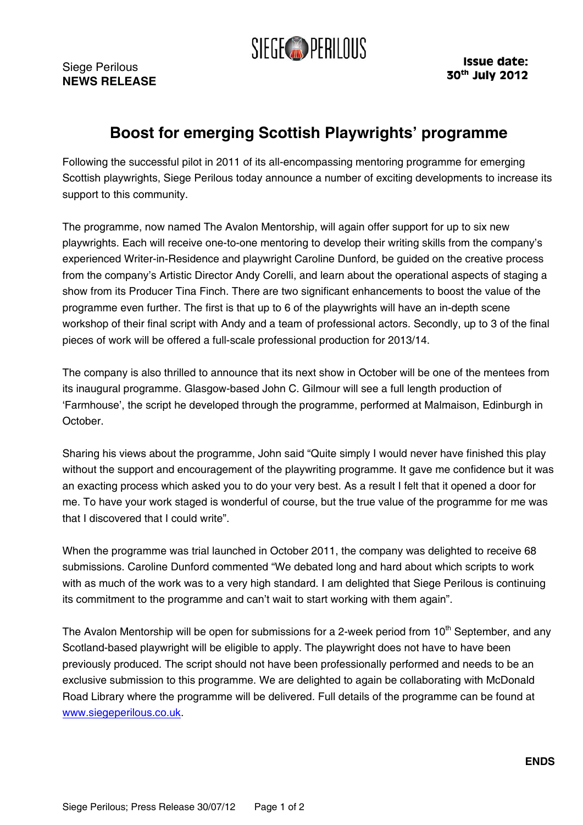

Siege Perilous **NEWS RELEASE** 

## **Boost for emerging Scottish Playwrights' programme**

Following the successful pilot in 2011 of its all-encompassing mentoring programme for emerging Scottish playwrights, Siege Perilous today announce a number of exciting developments to increase its support to this community.

The programme, now named The Avalon Mentorship, will again offer support for up to six new playwrights. Each will receive one-to-one mentoring to develop their writing skills from the company's experienced Writer-in-Residence and playwright Caroline Dunford, be guided on the creative process from the company's Artistic Director Andy Corelli, and learn about the operational aspects of staging a show from its Producer Tina Finch. There are two significant enhancements to boost the value of the programme even further. The first is that up to 6 of the playwrights will have an in-depth scene workshop of their final script with Andy and a team of professional actors. Secondly, up to 3 of the final pieces of work will be offered a full-scale professional production for 2013/14.

The company is also thrilled to announce that its next show in October will be one of the mentees from its inaugural programme. Glasgow-based John C. Gilmour will see a full length production of 'Farmhouse', the script he developed through the programme, performed at Malmaison, Edinburgh in October.

Sharing his views about the programme, John said "Quite simply I would never have finished this play without the support and encouragement of the playwriting programme. It gave me confidence but it was an exacting process which asked you to do your very best. As a result I felt that it opened a door for me. To have your work staged is wonderful of course, but the true value of the programme for me was that I discovered that I could write".

When the programme was trial launched in October 2011, the company was delighted to receive 68 submissions. Caroline Dunford commented "We debated long and hard about which scripts to work with as much of the work was to a very high standard. I am delighted that Siege Perilous is continuing its commitment to the programme and can't wait to start working with them again".

The Avalon Mentorship will be open for submissions for a 2-week period from 10<sup>th</sup> September, and any Scotland-based playwright will be eligible to apply. The playwright does not have to have been previously produced. The script should not have been professionally performed and needs to be an exclusive submission to this programme. We are delighted to again be collaborating with McDonald Road Library where the programme will be delivered. Full details of the programme can be found at [www.siegeperilous.co.uk.](http://www.siegeperilous.co.uk/)